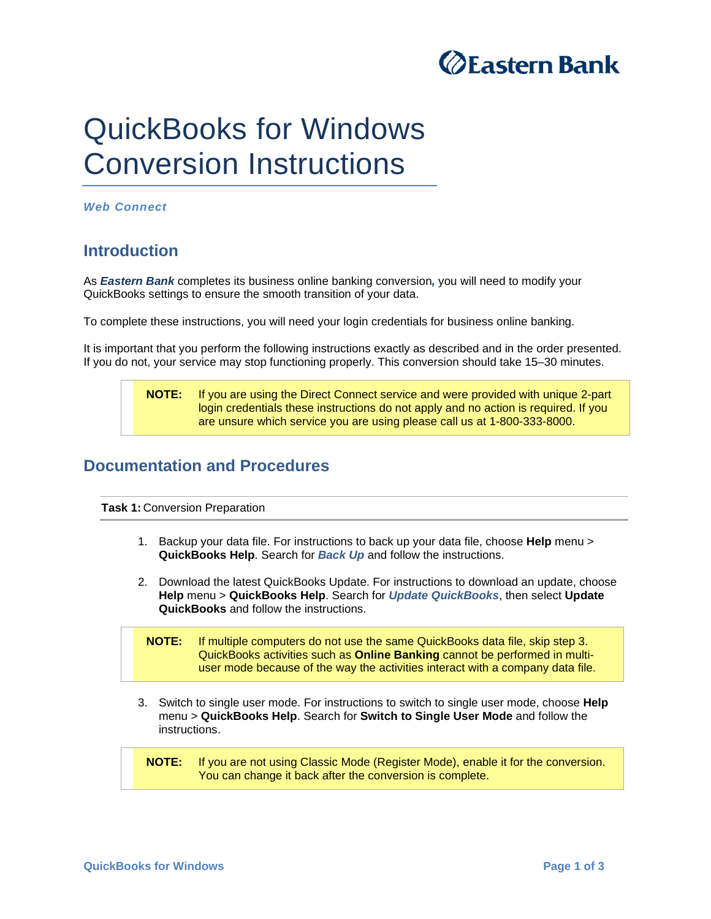

## QuickBooks for Windows Conversion Instructions

*Web Connect* 

## **Introduction**

As *Eastern Bank* completes its business online banking conversion*,* you will need to modify your QuickBooks settings to ensure the smooth transition of your data.

To complete these instructions, you will need your login credentials for business online banking.

It is important that you perform the following instructions exactly as described and in the order presented. If you do not, your service may stop functioning properly. This conversion should take 15–30 minutes.

> **NOTE:** If you are using the Direct Connect service and were provided with unique 2-part login credentials these instructions do not apply and no action is required. If you are unsure which service you are using please call us at 1-800-333-8000.

## **Documentation and Procedures**

**Task 1:** Conversion Preparation

- 1. Backup your data file. For instructions to back up your data file, choose **Help** menu > **QuickBooks Help**. Search for *Back Up* and follow the instructions.
- 2. Download the latest QuickBooks Update. For instructions to download an update, choose **Help** menu > **QuickBooks Help**. Search for *Update QuickBooks*, then select **Update QuickBooks** and follow the instructions.

**NOTE:** If multiple computers do not use the same QuickBooks data file, skip step 3. QuickBooks activities such as **Online Banking** cannot be performed in multiuser mode because of the way the activities interact with a company data file.

3. Switch to single user mode. For instructions to switch to single user mode, choose **Help** menu > **QuickBooks Help**. Search for **Switch to Single User Mode** and follow the instructions.

**NOTE:** If you are not using Classic Mode (Register Mode), enable it for the conversion. You can change it back after the conversion is complete.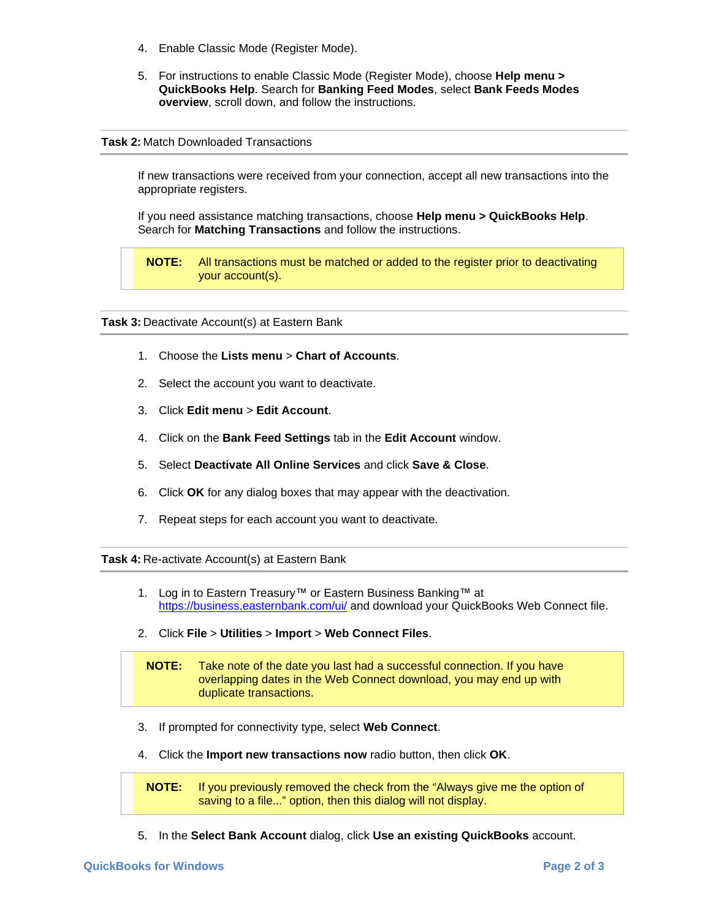- 4. Enable Classic Mode (Register Mode).
- 5. For instructions to enable Classic Mode (Register Mode), choose **Help menu > QuickBooks Help**. Search for **Banking Feed Modes**, select **Bank Feeds Modes overview**, scroll down, and follow the instructions.

## **Task 2:** Match Downloaded Transactions

If new transactions were received from your connection, accept all new transactions into the appropriate registers.

If you need assistance matching transactions, choose **Help menu > QuickBooks Help**. Search for **Matching Transactions** and follow the instructions.

**NOTE:** All transactions must be matched or added to the register prior to deactivating your account(s).

**Task 3:** Deactivate Account(s) at Eastern Bank

- 1. Choose the **Lists menu** > **Chart of Accounts**.
- 2. Select the account you want to deactivate.
- 3. Click **Edit menu** > **Edit Account**.
- 4. Click on the **Bank Feed Settings** tab in the **Edit Account** window.
- 5. Select **Deactivate All Online Services** and click **Save & Close**.
- 6. Click **OK** for any dialog boxes that may appear with the deactivation.
- 7. Repeat steps for each account you want to deactivate.

**Task 4:** Re-activate Account(s) at Eastern Bank

- 1. Log in to Eastern Treasury™ or Eastern Business Banking™ at https://business.easternbank.com/ui/ and download your QuickBooks Web Connect file.
- 2. Click **File** > **Utilities** > **Import** > **Web Connect Files**.

**NOTE:** Take note of the date you last had a successful connection. If you have overlapping dates in the Web Connect download, you may end up with duplicate transactions.

- 3. If prompted for connectivity type, select **Web Connect**.
- 4. Click the **Import new transactions now** radio button, then click **OK**.

**NOTE:** If you previously removed the check from the "Always give me the option of saving to a file..." option, then this dialog will not display.

5. In the **Select Bank Account** dialog, click **Use an existing QuickBooks** account.